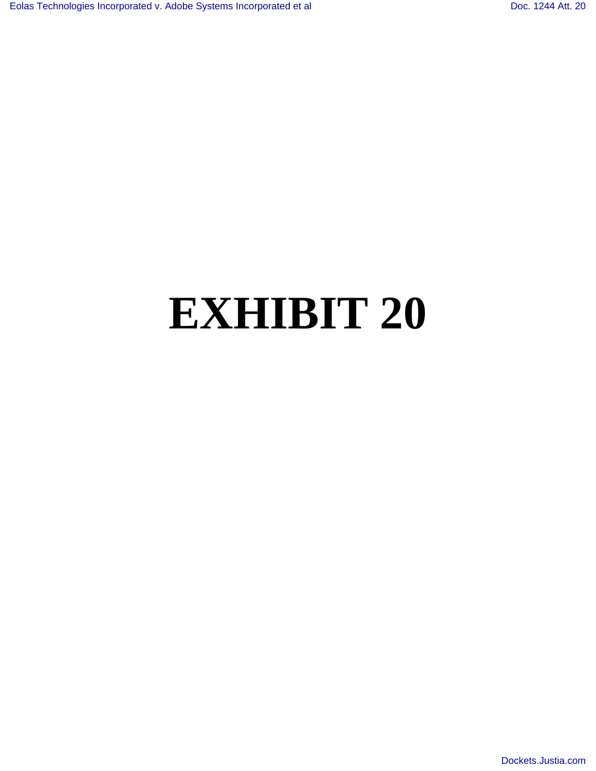# **EXHIBIT 20**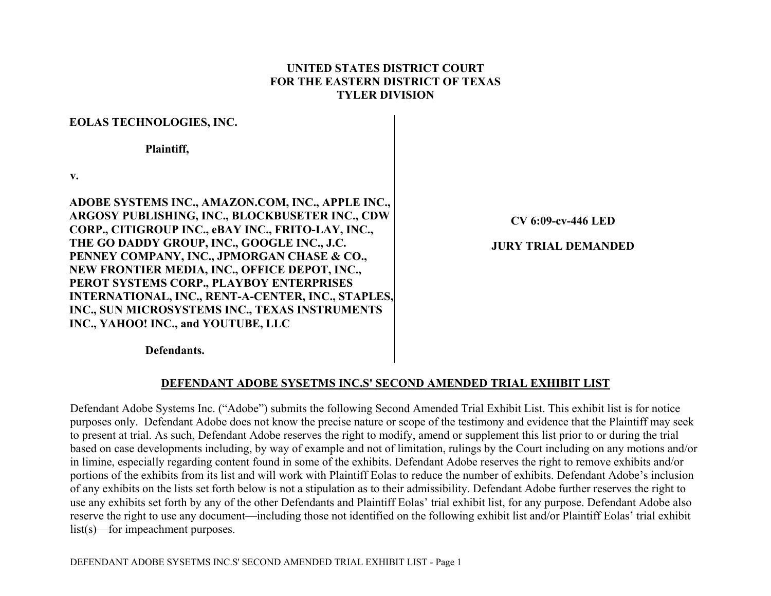#### **UNITED STATES DISTRICT COURT FOR THE EASTERN DISTRICT OF TEXAS TYLER DIVISION**

#### **EOLAS TECHNOLOGIES, INC.**

 **Plaintiff,** 

**v.** 

**ADOBE SYSTEMS INC., AMAZON.COM, INC., APPLE INC., ARGOSY PUBLISHING, INC., BLOCKBUSETER INC., CDW CORP., CITIGROUP INC., eBAY INC., FRITO-LAY, INC., THE GO DADDY GROUP, INC., GOOGLE INC., J.C. PENNEY COMPANY, INC., JPMORGAN CHASE & CO., NEW FRONTIER MEDIA, INC., OFFICE DEPOT, INC., PEROT SYSTEMS CORP., PLAYBOY ENTERPRISES INTERNATIONAL, INC., RENT-A-CENTER, INC., STAPLES, INC., SUN MICROSYSTEMS INC., TEXAS INSTRUMENTS INC., YAHOO! INC., and YOUTUBE, LLC** 

**CV 6:09-cv-446 LED** 

### **JURY TRIAL DEMANDED**

 **Defendants.** 

### **DEFENDANT ADOBE SYSETMS INC.S' SECOND AMENDED TRIAL EXHIBIT LIST**

Defendant Adobe Systems Inc. ("Adobe") submits the following Second Amended Trial Exhibit List. This exhibit list is for notice purposes only. Defendant Adobe does not know the precise nature or scope of the testimony and evidence that the Plaintiff may seek to present at trial. As such, Defendant Adobe reserves the right to modify, amend or supplement this list prior to or during the trial based on case developments including, by way of example and not of limitation, rulings by the Court including on any motions and/or in limine, especially regarding content found in some of the exhibits. Defendant Adobe reserves the right to remove exhibits and/or portions of the exhibits from its list and will work with Plaintiff Eolas to reduce the number of exhibits. Defendant Adobe's inclusion of any exhibits on the lists set forth below is not a stipulation as to their admissibility. Defendant Adobe further reserves the right to use any exhibits set forth by any of the other Defendants and Plaintiff Eolas' trial exhibit list, for any purpose. Defendant Adobe also reserve the right to use any document—including those not identified on the following exhibit list and/or Plaintiff Eolas' trial exhibit list(s)—for impeachment purposes.

DEFENDANT ADOBE SYSETMS INC.S' SECOND AMENDED TRIAL EXHIBIT LIST - Page 1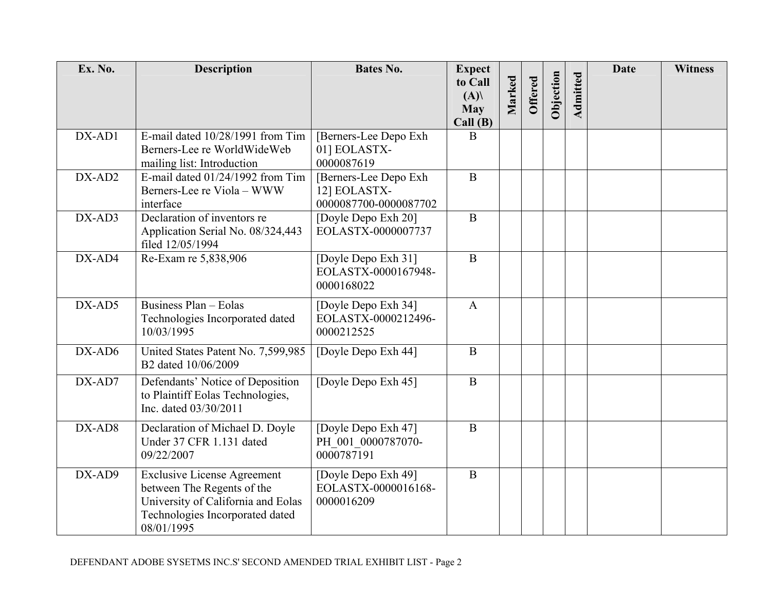| Ex. No. | <b>Description</b>                                                                                                                                      | <b>Bates No.</b>                                                | <b>Expect</b><br>to Call<br>(A)<br><b>May</b> | Marked | <b>Offered</b> | Objection | Admitted | <b>Date</b> | <b>Witness</b> |
|---------|---------------------------------------------------------------------------------------------------------------------------------------------------------|-----------------------------------------------------------------|-----------------------------------------------|--------|----------------|-----------|----------|-------------|----------------|
|         |                                                                                                                                                         |                                                                 | Call(B)                                       |        |                |           |          |             |                |
| DX-AD1  | E-mail dated 10/28/1991 from Tim<br>Berners-Lee re WorldWideWeb                                                                                         | [Berners-Lee Depo Exh<br>01] EOLASTX-                           | B                                             |        |                |           |          |             |                |
|         | mailing list: Introduction                                                                                                                              | 0000087619                                                      |                                               |        |                |           |          |             |                |
| DX-AD2  | E-mail dated $01/24/1992$ from Tim<br>Berners-Lee re Viola - WWW<br>interface                                                                           | [Berners-Lee Depo Exh]<br>12] EOLASTX-<br>0000087700-0000087702 | $\, {\bf B}$                                  |        |                |           |          |             |                |
| DX-AD3  | Declaration of inventors re<br>Application Serial No. 08/324,443<br>filed 12/05/1994                                                                    | [Doyle Depo Exh 20]<br>EOLASTX-0000007737                       | $\, {\bf B}$                                  |        |                |           |          |             |                |
| DX-AD4  | Re-Exam re 5,838,906                                                                                                                                    | [Doyle Depo Exh 31]<br>EOLASTX-0000167948-<br>0000168022        | $\, {\bf B}$                                  |        |                |           |          |             |                |
| DX-AD5  | Business Plan - Eolas<br>Technologies Incorporated dated<br>10/03/1995                                                                                  | [Doyle Depo Exh 34]<br>EOLASTX-0000212496-<br>0000212525        | $\mathbf{A}$                                  |        |                |           |          |             |                |
| DX-AD6  | United States Patent No. 7,599,985<br>B2 dated 10/06/2009                                                                                               | [Doyle Depo Exh 44]                                             | $\mathbf{B}$                                  |        |                |           |          |             |                |
| DX-AD7  | Defendants' Notice of Deposition<br>to Plaintiff Eolas Technologies,<br>Inc. dated 03/30/2011                                                           | [Doyle Depo Exh 45]                                             | $\mathbf{B}$                                  |        |                |           |          |             |                |
| DX-AD8  | Declaration of Michael D. Doyle<br>Under 37 CFR 1.131 dated<br>09/22/2007                                                                               | [Doyle Depo Exh 47]<br>PH 001 0000787070-<br>0000787191         | $\mathbf{B}$                                  |        |                |           |          |             |                |
| DX-AD9  | <b>Exclusive License Agreement</b><br>between The Regents of the<br>University of California and Eolas<br>Technologies Incorporated dated<br>08/01/1995 | [Doyle Depo Exh 49]<br>EOLASTX-0000016168-<br>0000016209        | $\, {\bf B}$                                  |        |                |           |          |             |                |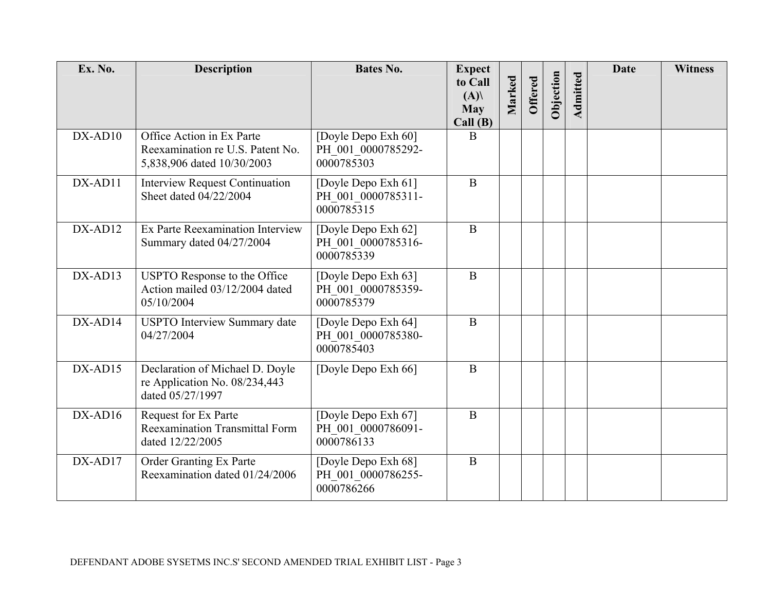| Ex. No.   | <b>Description</b>                                                                          | <b>Bates No.</b>                                        | <b>Expect</b><br>to Call<br>(A)<br><b>May</b><br>Call(B) | Marked | <b>Offered</b> | Objection | Admitted | <b>Date</b> | <b>Witness</b> |
|-----------|---------------------------------------------------------------------------------------------|---------------------------------------------------------|----------------------------------------------------------|--------|----------------|-----------|----------|-------------|----------------|
| $DX-AD10$ | Office Action in Ex Parte<br>Reexamination re U.S. Patent No.<br>5,838,906 dated 10/30/2003 | [Doyle Depo Exh 60]<br>PH 001 0000785292-<br>0000785303 | B                                                        |        |                |           |          |             |                |
| DX-AD11   | <b>Interview Request Continuation</b><br>Sheet dated 04/22/2004                             | [Doyle Depo Exh 61]<br>PH 001 0000785311-<br>0000785315 | $\mathbf{B}$                                             |        |                |           |          |             |                |
| DX-AD12   | Ex Parte Reexamination Interview<br>Summary dated 04/27/2004                                | [Doyle Depo Exh 62]<br>PH 001 0000785316-<br>0000785339 | $\mathbf{B}$                                             |        |                |           |          |             |                |
| $DX-AD13$ | USPTO Response to the Office<br>Action mailed 03/12/2004 dated<br>05/10/2004                | [Doyle Depo Exh 63]<br>PH 001 0000785359-<br>0000785379 | $\mathbf{B}$                                             |        |                |           |          |             |                |
| DX-AD14   | <b>USPTO</b> Interview Summary date<br>04/27/2004                                           | [Doyle Depo Exh 64]<br>PH 001 0000785380-<br>0000785403 | $\mathbf{B}$                                             |        |                |           |          |             |                |
| $DX-AD15$ | Declaration of Michael D. Doyle<br>re Application No. 08/234,443<br>dated 05/27/1997        | [Doyle Depo Exh 66]                                     | $\mathbf{B}$                                             |        |                |           |          |             |                |
| $DX-AD16$ | Request for Ex Parte<br><b>Reexamination Transmittal Form</b><br>dated 12/22/2005           | [Doyle Depo Exh 67]<br>PH 001 0000786091-<br>0000786133 | $\mathbf{B}$                                             |        |                |           |          |             |                |
| DX-AD17   | Order Granting Ex Parte<br>Reexamination dated 01/24/2006                                   | [Doyle Depo Exh 68]<br>PH 001 0000786255-<br>0000786266 | B                                                        |        |                |           |          |             |                |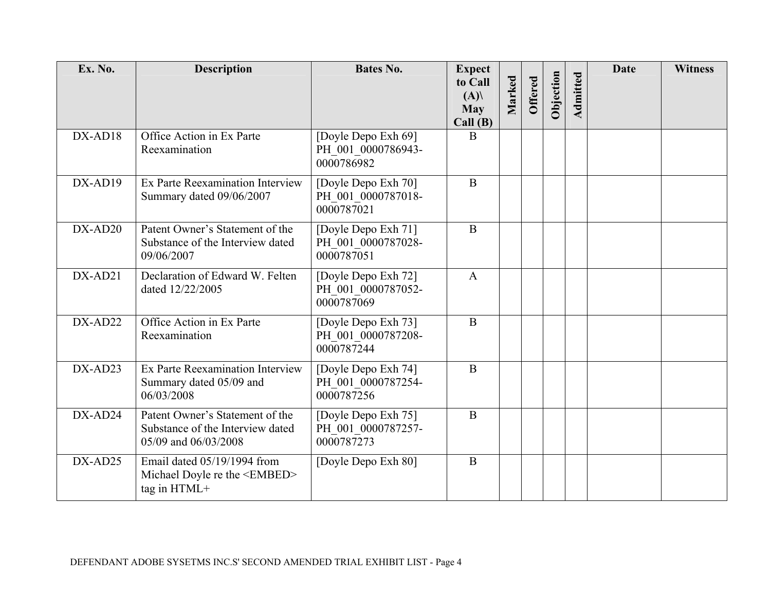| Ex. No.   | <b>Description</b>                                                                          | <b>Bates No.</b>                                        | <b>Expect</b><br>to Call<br>(A)<br><b>May</b> | Marked | Offered | Objection | Admitted | <b>Date</b> | <b>Witness</b> |
|-----------|---------------------------------------------------------------------------------------------|---------------------------------------------------------|-----------------------------------------------|--------|---------|-----------|----------|-------------|----------------|
| DX-AD18   | Office Action in Ex Parte<br>Reexamination                                                  | [Doyle Depo Exh 69]<br>PH 001 0000786943-<br>0000786982 | Call(B)<br>B                                  |        |         |           |          |             |                |
| DX-AD19   | Ex Parte Reexamination Interview<br>Summary dated 09/06/2007                                | [Doyle Depo Exh 70]<br>PH 001 0000787018-<br>0000787021 | $\mathbf{B}$                                  |        |         |           |          |             |                |
| DX-AD20   | Patent Owner's Statement of the<br>Substance of the Interview dated<br>09/06/2007           | [Doyle Depo Exh 71]<br>PH 001 0000787028-<br>0000787051 | $\overline{B}$                                |        |         |           |          |             |                |
| DX-AD21   | Declaration of Edward W. Felten<br>dated 12/22/2005                                         | [Doyle Depo Exh 72]<br>PH 001 0000787052-<br>0000787069 | $\mathbf{A}$                                  |        |         |           |          |             |                |
| $DX-AD22$ | Office Action in Ex Parte<br>Reexamination                                                  | [Doyle Depo Exh 73]<br>PH 001 0000787208-<br>0000787244 | B                                             |        |         |           |          |             |                |
| $DX-AD23$ | Ex Parte Reexamination Interview<br>Summary dated 05/09 and<br>06/03/2008                   | [Doyle Depo Exh 74]<br>PH 001 0000787254-<br>0000787256 | $\mathbf{B}$                                  |        |         |           |          |             |                |
| DX-AD24   | Patent Owner's Statement of the<br>Substance of the Interview dated<br>05/09 and 06/03/2008 | [Doyle Depo Exh 75]<br>PH 001 0000787257-<br>0000787273 | $\mathbf{B}$                                  |        |         |           |          |             |                |
| DX-AD25   | Email dated 05/19/1994 from<br>Michael Doyle re the <embed/><br>tag in HTML+                | [Doyle Depo Exh 80]                                     | $\mathbf{B}$                                  |        |         |           |          |             |                |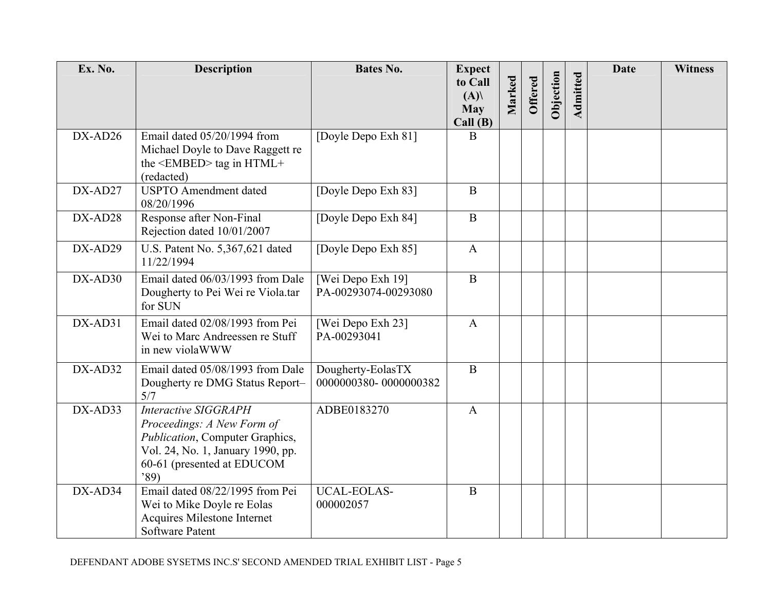| Ex. No.   | <b>Description</b>                                                                                                                                                      | <b>Bates No.</b>                           | <b>Expect</b><br>to Call<br>(A)<br><b>May</b> | Marked | <b>Offered</b> | Objection | Admitted | <b>Date</b> | <b>Witness</b> |
|-----------|-------------------------------------------------------------------------------------------------------------------------------------------------------------------------|--------------------------------------------|-----------------------------------------------|--------|----------------|-----------|----------|-------------|----------------|
| $DX-AD26$ | Email dated 05/20/1994 from<br>Michael Doyle to Dave Raggett re<br>the $\leq$ EMBED $>$ tag in HTML+<br>(redacted)                                                      | [Doyle Depo Exh 81]                        | Call(B)<br>B                                  |        |                |           |          |             |                |
| DX-AD27   | <b>USPTO</b> Amendment dated<br>08/20/1996                                                                                                                              | [Doyle Depo Exh 83]                        | $\mathbf B$                                   |        |                |           |          |             |                |
| DX-AD28   | Response after Non-Final<br>Rejection dated 10/01/2007                                                                                                                  | [Doyle Depo Exh 84]                        | $\, {\bf B}$                                  |        |                |           |          |             |                |
| DX-AD29   | U.S. Patent No. 5,367,621 dated<br>11/22/1994                                                                                                                           | [Doyle Depo Exh 85]                        | $\mathbf{A}$                                  |        |                |           |          |             |                |
| DX-AD30   | Email dated 06/03/1993 from Dale<br>Dougherty to Pei Wei re Viola.tar<br>for SUN                                                                                        | [Wei Depo Exh 19]<br>PA-00293074-00293080  | $\, {\bf B}$                                  |        |                |           |          |             |                |
| DX-AD31   | Email dated 02/08/1993 from Pei<br>Wei to Marc Andreessen re Stuff<br>in new violaWWW                                                                                   | [Wei Depo Exh 23]<br>PA-00293041           | $\mathbf{A}$                                  |        |                |           |          |             |                |
| DX-AD32   | Email dated 05/08/1993 from Dale<br>Dougherty re DMG Status Report-<br>5/7                                                                                              | Dougherty-EolasTX<br>0000000380-0000000382 | $\mathbf{B}$                                  |        |                |           |          |             |                |
| DX-AD33   | <b>Interactive SIGGRAPH</b><br>Proceedings: A New Form of<br>Publication, Computer Graphics,<br>Vol. 24, No. 1, January 1990, pp.<br>60-61 (presented at EDUCOM<br>'89) | ADBE0183270                                | $\mathbf{A}$                                  |        |                |           |          |             |                |
| $DX-AD34$ | Email dated 08/22/1995 from Pei<br>Wei to Mike Doyle re Eolas<br>Acquires Milestone Internet<br><b>Software Patent</b>                                                  | <b>UCAL-EOLAS-</b><br>000002057            | $\mathbf{B}$                                  |        |                |           |          |             |                |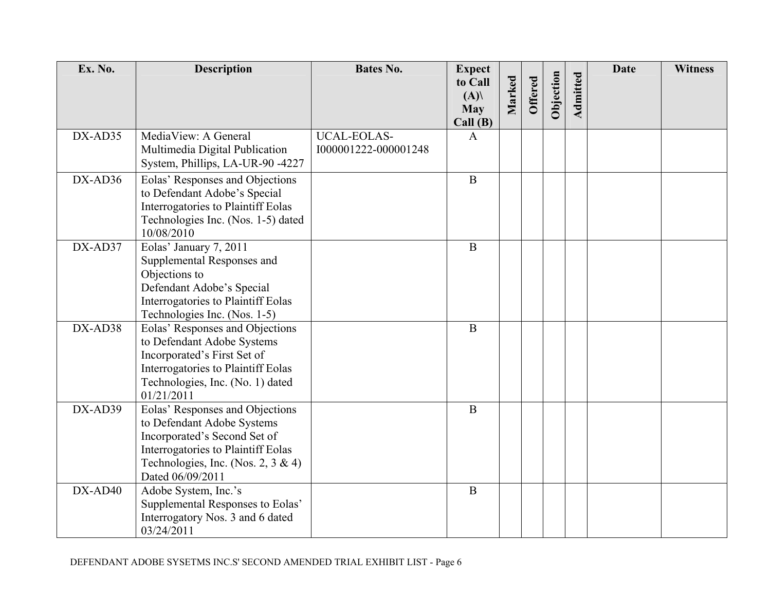| Ex. No. | <b>Description</b>                                                                                                                                                                            | <b>Bates No.</b>                           | <b>Expect</b>                           |        |                |           |          | <b>Date</b> | <b>Witness</b> |
|---------|-----------------------------------------------------------------------------------------------------------------------------------------------------------------------------------------------|--------------------------------------------|-----------------------------------------|--------|----------------|-----------|----------|-------------|----------------|
|         |                                                                                                                                                                                               |                                            | to Call<br>(A)<br><b>May</b><br>Call(B) | Marked | <b>Offered</b> | Objection | Admitted |             |                |
| DX-AD35 | MediaView: A General<br>Multimedia Digital Publication<br>System, Phillips, LA-UR-90 -4227                                                                                                    | <b>UCAL-EOLAS-</b><br>1000001222-000001248 | $\mathbf{A}$                            |        |                |           |          |             |                |
| DX-AD36 | Eolas' Responses and Objections<br>to Defendant Adobe's Special<br>Interrogatories to Plaintiff Eolas<br>Technologies Inc. (Nos. 1-5) dated<br>10/08/2010                                     |                                            | $\mathbf{B}$                            |        |                |           |          |             |                |
| DX-AD37 | Eolas' January 7, 2011<br>Supplemental Responses and<br>Objections to<br>Defendant Adobe's Special<br>Interrogatories to Plaintiff Eolas<br>Technologies Inc. (Nos. 1-5)                      |                                            | $\mathbf B$                             |        |                |           |          |             |                |
| DX-AD38 | Eolas' Responses and Objections<br>to Defendant Adobe Systems<br>Incorporated's First Set of<br>Interrogatories to Plaintiff Eolas<br>Technologies, Inc. (No. 1) dated<br>01/21/2011          |                                            | $\mathbf{B}$                            |        |                |           |          |             |                |
| DX-AD39 | Eolas' Responses and Objections<br>to Defendant Adobe Systems<br>Incorporated's Second Set of<br>Interrogatories to Plaintiff Eolas<br>Technologies, Inc. (Nos. 2, 3 & 4)<br>Dated 06/09/2011 |                                            | $\mathbf{B}$                            |        |                |           |          |             |                |
| DX-AD40 | Adobe System, Inc.'s<br>Supplemental Responses to Eolas'<br>Interrogatory Nos. 3 and 6 dated<br>03/24/2011                                                                                    |                                            | $\bf{B}$                                |        |                |           |          |             |                |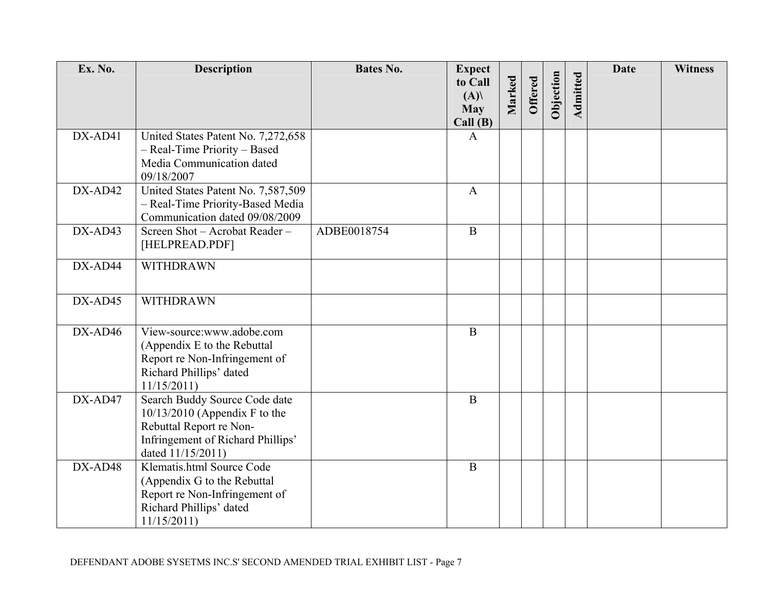| Ex. No.   | <b>Description</b>                                                                                                                                    | <b>Bates No.</b> | <b>Expect</b>                |        |                |           |          | <b>Date</b> | <b>Witness</b> |
|-----------|-------------------------------------------------------------------------------------------------------------------------------------------------------|------------------|------------------------------|--------|----------------|-----------|----------|-------------|----------------|
|           |                                                                                                                                                       |                  | to Call<br>(A)<br><b>May</b> | Marked | <b>Offered</b> | Objection | Admitted |             |                |
| DX-AD41   | United States Patent No. 7,272,658<br>- Real-Time Priority - Based<br>Media Communication dated<br>09/18/2007                                         |                  | Call(B)<br>$\mathbf{A}$      |        |                |           |          |             |                |
| $DX-AD42$ | United States Patent No. 7,587,509<br>- Real-Time Priority-Based Media<br>Communication dated 09/08/2009                                              |                  | $\mathbf{A}$                 |        |                |           |          |             |                |
| DX-AD43   | Screen Shot - Acrobat Reader -<br>[HELPREAD.PDF]                                                                                                      | ADBE0018754      | $\, {\bf B}$                 |        |                |           |          |             |                |
| DX-AD44   | WITHDRAWN                                                                                                                                             |                  |                              |        |                |           |          |             |                |
| DX-AD45   | <b>WITHDRAWN</b>                                                                                                                                      |                  |                              |        |                |           |          |             |                |
| DX-AD46   | View-source:www.adobe.com<br>(Appendix E to the Rebuttal<br>Report re Non-Infringement of<br>Richard Phillips' dated<br>11/15/2011                    |                  | $\mathbf B$                  |        |                |           |          |             |                |
| DX-AD47   | Search Buddy Source Code date<br>$10/13/2010$ (Appendix F to the<br>Rebuttal Report re Non-<br>Infringement of Richard Phillips'<br>dated 11/15/2011) |                  | $\mathbf B$                  |        |                |           |          |             |                |
| DX-AD48   | Klematis.html Source Code<br>(Appendix G to the Rebuttal<br>Report re Non-Infringement of<br>Richard Phillips' dated<br>11/15/2011                    |                  | $\mathbf{B}$                 |        |                |           |          |             |                |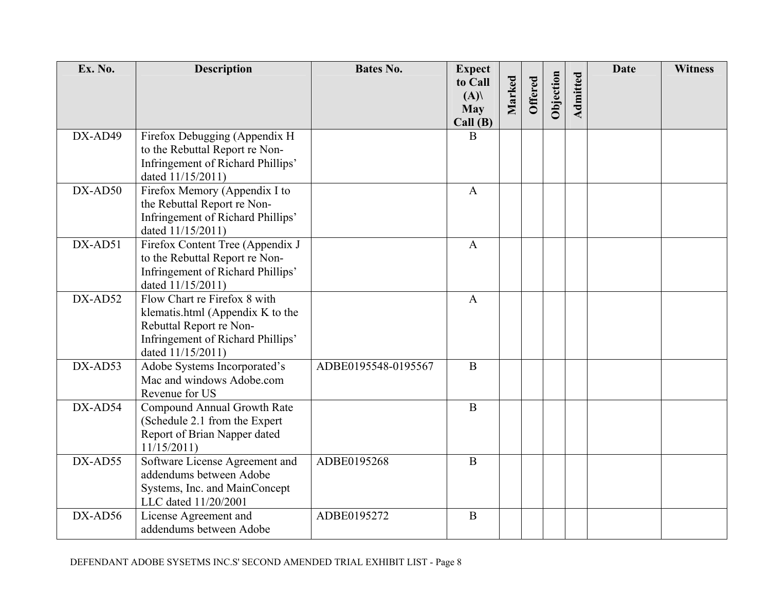| Ex. No. | <b>Description</b>                                                                                                                                    | <b>Bates No.</b>    | <b>Expect</b><br>to Call<br>(A) | Marked | <b>Offered</b> | Objection | Admitted | <b>Date</b> | <b>Witness</b> |
|---------|-------------------------------------------------------------------------------------------------------------------------------------------------------|---------------------|---------------------------------|--------|----------------|-----------|----------|-------------|----------------|
|         |                                                                                                                                                       |                     | <b>May</b><br>Call(B)           |        |                |           |          |             |                |
| DX-AD49 | Firefox Debugging (Appendix H)<br>to the Rebuttal Report re Non-<br>Infringement of Richard Phillips'<br>dated 11/15/2011)                            |                     | B                               |        |                |           |          |             |                |
| DX-AD50 | Firefox Memory (Appendix I to<br>the Rebuttal Report re Non-<br>Infringement of Richard Phillips'<br>dated 11/15/2011)                                |                     | $\mathbf{A}$                    |        |                |           |          |             |                |
| DX-AD51 | Firefox Content Tree (Appendix J<br>to the Rebuttal Report re Non-<br>Infringement of Richard Phillips'<br>dated 11/15/2011)                          |                     | $\mathbf{A}$                    |        |                |           |          |             |                |
| DX-AD52 | Flow Chart re Firefox 8 with<br>klematis.html (Appendix K to the<br>Rebuttal Report re Non-<br>Infringement of Richard Phillips'<br>dated 11/15/2011) |                     | $\mathbf{A}$                    |        |                |           |          |             |                |
| DX-AD53 | Adobe Systems Incorporated's<br>Mac and windows Adobe.com<br>Revenue for US                                                                           | ADBE0195548-0195567 | $\mathbf{B}$                    |        |                |           |          |             |                |
| DX-AD54 | Compound Annual Growth Rate<br>(Schedule 2.1 from the Expert<br>Report of Brian Napper dated<br>11/15/2011                                            |                     | $\bf{B}$                        |        |                |           |          |             |                |
| DX-AD55 | Software License Agreement and<br>addendums between Adobe<br>Systems, Inc. and MainConcept<br>LLC dated 11/20/2001                                    | ADBE0195268         | $\mathbf{B}$                    |        |                |           |          |             |                |
| DX-AD56 | License Agreement and<br>addendums between Adobe                                                                                                      | ADBE0195272         | $\overline{B}$                  |        |                |           |          |             |                |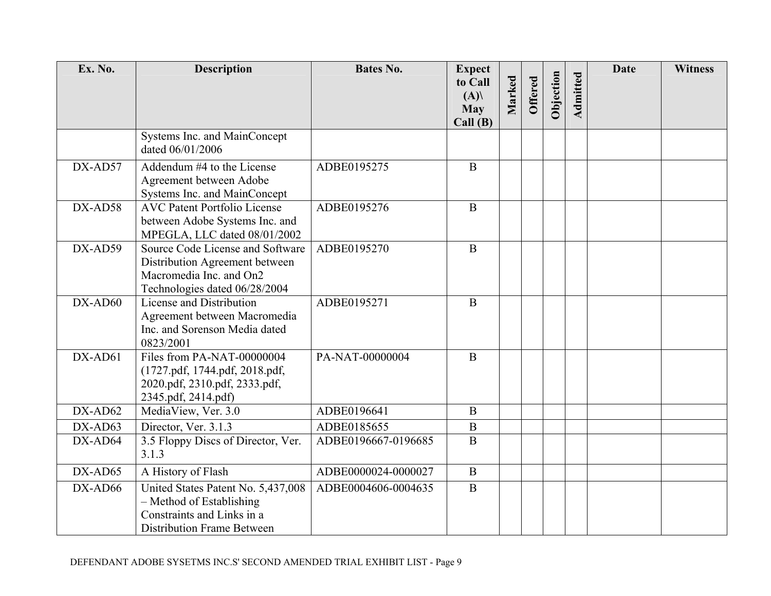| Ex. No.   | <b>Description</b>                                                                                                             | <b>Bates No.</b>    | <b>Expect</b><br>to Call     |        |                |           |          | <b>Date</b> | <b>Witness</b> |
|-----------|--------------------------------------------------------------------------------------------------------------------------------|---------------------|------------------------------|--------|----------------|-----------|----------|-------------|----------------|
|           |                                                                                                                                |                     | (A)<br><b>May</b><br>Call(B) | Marked | <b>Offered</b> | Objection | Admitted |             |                |
|           | Systems Inc. and MainConcept<br>dated 06/01/2006                                                                               |                     |                              |        |                |           |          |             |                |
| DX-AD57   | Addendum #4 to the License<br>Agreement between Adobe<br>Systems Inc. and MainConcept                                          | ADBE0195275         | $\overline{B}$               |        |                |           |          |             |                |
| DX-AD58   | <b>AVC Patent Portfolio License</b><br>between Adobe Systems Inc. and<br>MPEGLA, LLC dated 08/01/2002                          | ADBE0195276         | $\, {\bf B}$                 |        |                |           |          |             |                |
| DX-AD59   | Source Code License and Software<br>Distribution Agreement between<br>Macromedia Inc. and On2<br>Technologies dated 06/28/2004 | ADBE0195270         | $\bf{B}$                     |        |                |           |          |             |                |
| $DX-AD60$ | License and Distribution<br>Agreement between Macromedia<br>Inc. and Sorenson Media dated<br>0823/2001                         | ADBE0195271         | $\, {\bf B}$                 |        |                |           |          |             |                |
| DX-AD61   | Files from PA-NAT-00000004<br>(1727.pdf, 1744.pdf, 2018.pdf,<br>2020.pdf, 2310.pdf, 2333.pdf,<br>2345.pdf, 2414.pdf)           | PA-NAT-00000004     | $\mathbf{B}$                 |        |                |           |          |             |                |
| DX-AD62   | MediaView, Ver. 3.0                                                                                                            | ADBE0196641         | $\mathbf{B}$                 |        |                |           |          |             |                |
| DX-AD63   | Director, Ver. 3.1.3                                                                                                           | ADBE0185655         | $\mathbf B$                  |        |                |           |          |             |                |
| DX-AD64   | 3.5 Floppy Discs of Director, Ver.<br>3.1.3                                                                                    | ADBE0196667-0196685 | $\, {\bf B}$                 |        |                |           |          |             |                |
| DX-AD65   | A History of Flash                                                                                                             | ADBE0000024-0000027 | $\mathbf{B}$                 |        |                |           |          |             |                |
| DX-AD66   | United States Patent No. 5,437,008<br>- Method of Establishing<br>Constraints and Links in a<br>Distribution Frame Between     | ADBE0004606-0004635 | $\, {\bf B}$                 |        |                |           |          |             |                |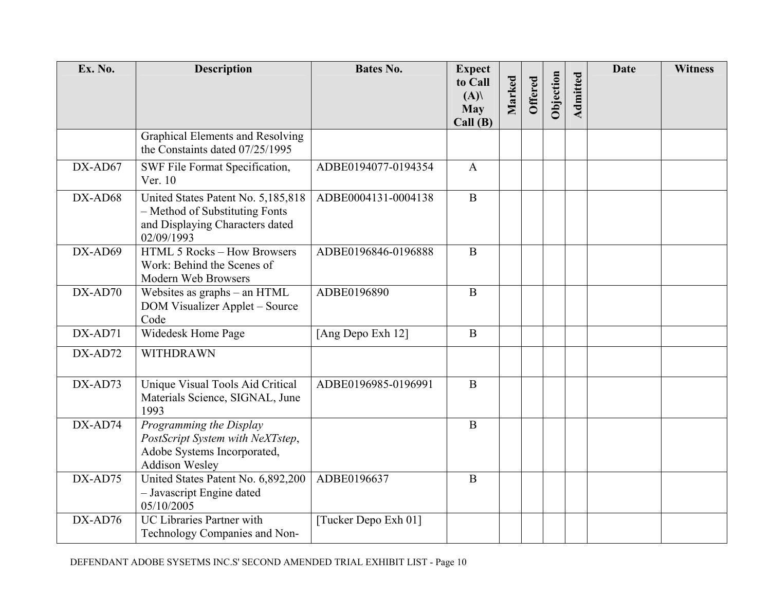| Ex. No.   | <b>Description</b>                                                                                                    | <b>Bates No.</b>     | <b>Expect</b><br>to Call<br>(A) | Marked | <b>Offered</b> | Objection | Admitted | <b>Date</b> | <b>Witness</b> |
|-----------|-----------------------------------------------------------------------------------------------------------------------|----------------------|---------------------------------|--------|----------------|-----------|----------|-------------|----------------|
|           |                                                                                                                       |                      | <b>May</b><br>Call(B)           |        |                |           |          |             |                |
|           | Graphical Elements and Resolving<br>the Constaints dated 07/25/1995                                                   |                      |                                 |        |                |           |          |             |                |
| $DX-AD67$ | SWF File Format Specification,<br>Ver. 10                                                                             | ADBE0194077-0194354  | $\mathbf{A}$                    |        |                |           |          |             |                |
| DX-AD68   | United States Patent No. 5,185,818<br>- Method of Substituting Fonts<br>and Displaying Characters dated<br>02/09/1993 | ADBE0004131-0004138  | $\mathbf B$                     |        |                |           |          |             |                |
| DX-AD69   | HTML 5 Rocks - How Browsers<br>Work: Behind the Scenes of<br>Modern Web Browsers                                      | ADBE0196846-0196888  | B                               |        |                |           |          |             |                |
| $DX-AD70$ | Websites as graphs - an HTML<br>DOM Visualizer Applet – Source<br>Code                                                | ADBE0196890          | $\mathbf{B}$                    |        |                |           |          |             |                |
| DX-AD71   | Widedesk Home Page                                                                                                    | [Ang Depo Exh 12]    | $\bf{B}$                        |        |                |           |          |             |                |
| DX-AD72   | <b>WITHDRAWN</b>                                                                                                      |                      |                                 |        |                |           |          |             |                |
| DX-AD73   | Unique Visual Tools Aid Critical<br>Materials Science, SIGNAL, June<br>1993                                           | ADBE0196985-0196991  | $\mathbf{B}$                    |        |                |           |          |             |                |
| $DX-AD74$ | Programming the Display<br>PostScript System with NeXTstep,<br>Adobe Systems Incorporated,<br><b>Addison Wesley</b>   |                      | B                               |        |                |           |          |             |                |
| DX-AD75   | United States Patent No. 6,892,200<br>- Javascript Engine dated<br>05/10/2005                                         | ADBE0196637          | B                               |        |                |           |          |             |                |
| DX-AD76   | <b>UC Libraries Partner with</b><br>Technology Companies and Non-                                                     | [Tucker Depo Exh 01] |                                 |        |                |           |          |             |                |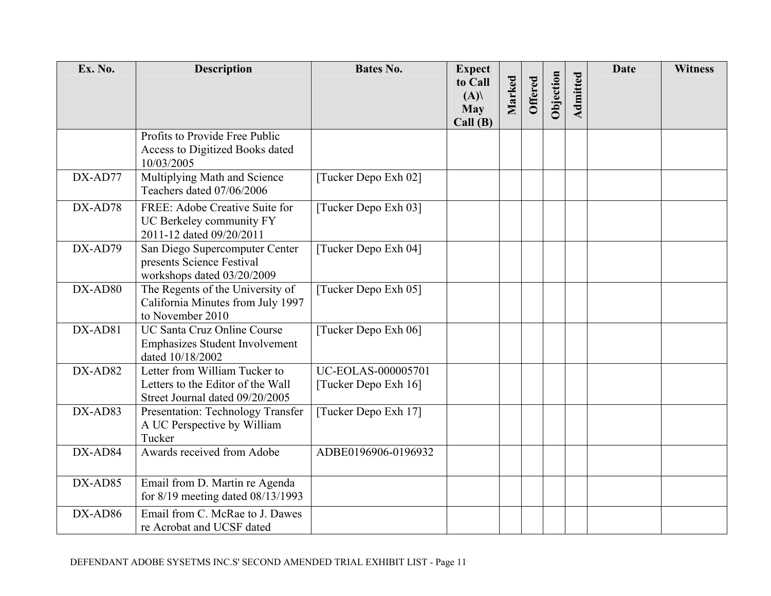| Ex. No. | <b>Description</b>                                                                                    | <b>Bates No.</b>                                  | <b>Expect</b>                           |        |         |           |          | <b>Date</b> | <b>Witness</b> |
|---------|-------------------------------------------------------------------------------------------------------|---------------------------------------------------|-----------------------------------------|--------|---------|-----------|----------|-------------|----------------|
|         |                                                                                                       |                                                   | to Call<br>(A)<br><b>May</b><br>Call(B) | Marked | Offered | Objection | Admitted |             |                |
|         | Profits to Provide Free Public<br>Access to Digitized Books dated<br>10/03/2005                       |                                                   |                                         |        |         |           |          |             |                |
| DX-AD77 | Multiplying Math and Science<br>Teachers dated 07/06/2006                                             | [Tucker Depo Exh 02]                              |                                         |        |         |           |          |             |                |
| DX-AD78 | FREE: Adobe Creative Suite for<br>UC Berkeley community FY<br>2011-12 dated 09/20/2011                | [Tucker Depo Exh 03]                              |                                         |        |         |           |          |             |                |
| DX-AD79 | San Diego Supercomputer Center<br>presents Science Festival<br>workshops dated 03/20/2009             | [Tucker Depo Exh 04]                              |                                         |        |         |           |          |             |                |
| DX-AD80 | The Regents of the University of<br>California Minutes from July 1997<br>to November 2010             | [Tucker Depo Exh 05]                              |                                         |        |         |           |          |             |                |
| DX-AD81 | <b>UC Santa Cruz Online Course</b><br><b>Emphasizes Student Involvement</b><br>dated 10/18/2002       | [Tucker Depo Exh 06]                              |                                         |        |         |           |          |             |                |
| DX-AD82 | Letter from William Tucker to<br>Letters to the Editor of the Wall<br>Street Journal dated 09/20/2005 | <b>UC-EOLAS-000005701</b><br>[Tucker Depo Exh 16] |                                         |        |         |           |          |             |                |
| DX-AD83 | Presentation: Technology Transfer<br>A UC Perspective by William<br>Tucker                            | [Tucker Depo Exh 17]                              |                                         |        |         |           |          |             |                |
| DX-AD84 | Awards received from Adobe                                                                            | ADBE0196906-0196932                               |                                         |        |         |           |          |             |                |
| DX-AD85 | Email from D. Martin re Agenda<br>for $8/19$ meeting dated $08/13/1993$                               |                                                   |                                         |        |         |           |          |             |                |
| DX-AD86 | Email from C. McRae to J. Dawes<br>re Acrobat and UCSF dated                                          |                                                   |                                         |        |         |           |          |             |                |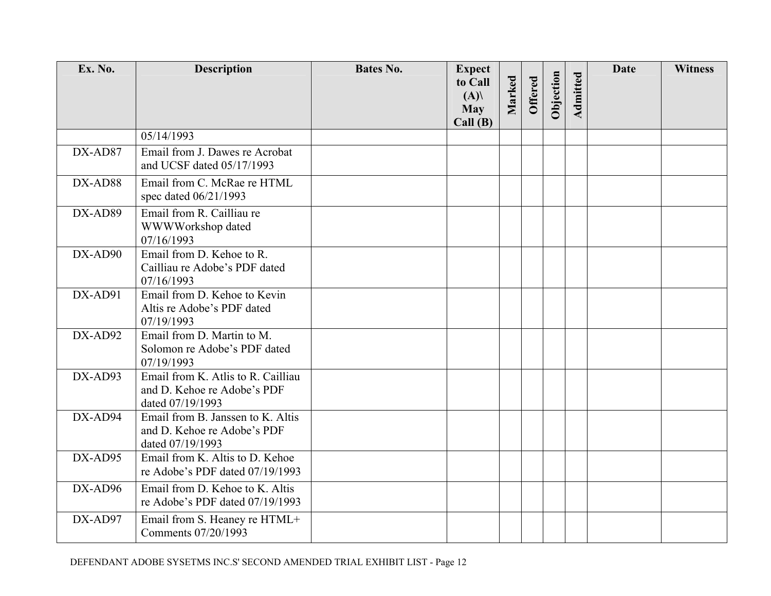| Ex. No.   | <b>Description</b>                                                                    | <b>Bates No.</b> | <b>Expect</b>                           |        |         |           |                 | <b>Date</b> | <b>Witness</b> |
|-----------|---------------------------------------------------------------------------------------|------------------|-----------------------------------------|--------|---------|-----------|-----------------|-------------|----------------|
|           |                                                                                       |                  | to Call<br>(A)<br><b>May</b><br>Call(B) | Marked | Offered | Objection | <b>Admitted</b> |             |                |
|           | 05/14/1993                                                                            |                  |                                         |        |         |           |                 |             |                |
| DX-AD87   | Email from J. Dawes re Acrobat<br>and UCSF dated 05/17/1993                           |                  |                                         |        |         |           |                 |             |                |
| DX-AD88   | Email from C. McRae re HTML<br>spec dated 06/21/1993                                  |                  |                                         |        |         |           |                 |             |                |
| DX-AD89   | Email from R. Cailliau re<br>WWWWorkshop dated<br>07/16/1993                          |                  |                                         |        |         |           |                 |             |                |
| DX-AD90   | Email from D. Kehoe to R.<br>Cailliau re Adobe's PDF dated<br>07/16/1993              |                  |                                         |        |         |           |                 |             |                |
| $DX-AD91$ | Email from D. Kehoe to Kevin<br>Altis re Adobe's PDF dated<br>07/19/1993              |                  |                                         |        |         |           |                 |             |                |
| DX-AD92   | Email from D. Martin to M.<br>Solomon re Adobe's PDF dated<br>07/19/1993              |                  |                                         |        |         |           |                 |             |                |
| DX-AD93   | Email from K. Atlis to R. Cailliau<br>and D. Kehoe re Adobe's PDF<br>dated 07/19/1993 |                  |                                         |        |         |           |                 |             |                |
| DX-AD94   | Email from B. Janssen to K. Altis<br>and D. Kehoe re Adobe's PDF<br>dated 07/19/1993  |                  |                                         |        |         |           |                 |             |                |
| DX-AD95   | Email from K. Altis to D. Kehoe<br>re Adobe's PDF dated 07/19/1993                    |                  |                                         |        |         |           |                 |             |                |
| $DX-AD96$ | Email from D. Kehoe to K. Altis<br>re Adobe's PDF dated 07/19/1993                    |                  |                                         |        |         |           |                 |             |                |
| DX-AD97   | Email from S. Heaney re HTML+<br>Comments 07/20/1993                                  |                  |                                         |        |         |           |                 |             |                |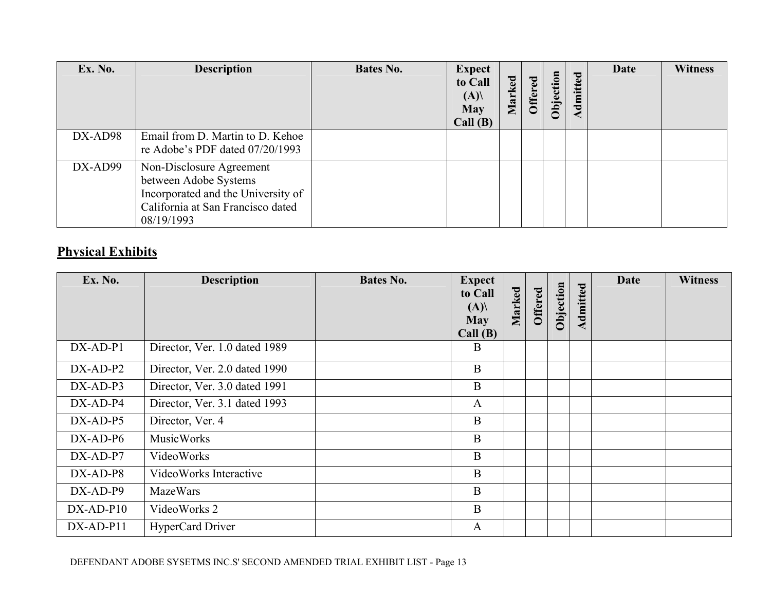| Ex. No. | <b>Description</b>                                                                                                                         | <b>Bates No.</b> | <b>Expect</b><br>to Call<br>(A)<br><b>May</b><br>Call(B) | Marked | <b>Offered</b> | Objection | Admitted | <b>Date</b> | <b>Witness</b> |
|---------|--------------------------------------------------------------------------------------------------------------------------------------------|------------------|----------------------------------------------------------|--------|----------------|-----------|----------|-------------|----------------|
| DX-AD98 | Email from D. Martin to D. Kehoe<br>re Adobe's PDF dated 07/20/1993                                                                        |                  |                                                          |        |                |           |          |             |                |
| DX-AD99 | Non-Disclosure Agreement<br>between Adobe Systems<br>Incorporated and the University of<br>California at San Francisco dated<br>08/19/1993 |                  |                                                          |        |                |           |          |             |                |

## **Physical Exhibits**

| Ex. No.     | <b>Description</b>            | Bates No. | <b>Expect</b><br>to Call<br>(A)<br><b>May</b><br>Call(B) | Marked | Offered | Objection | Admitted | <b>Date</b> | <b>Witness</b> |
|-------------|-------------------------------|-----------|----------------------------------------------------------|--------|---------|-----------|----------|-------------|----------------|
| $DX-AD-P1$  | Director, Ver. 1.0 dated 1989 |           | B                                                        |        |         |           |          |             |                |
| $DX-AD-P2$  | Director, Ver. 2.0 dated 1990 |           | $\mathbf B$                                              |        |         |           |          |             |                |
| $DX-AD-P3$  | Director, Ver. 3.0 dated 1991 |           | $\mathbf B$                                              |        |         |           |          |             |                |
| DX-AD-P4    | Director, Ver. 3.1 dated 1993 |           | $\mathbf{A}$                                             |        |         |           |          |             |                |
| $DX-AD-P5$  | Director, Ver. 4              |           | $\mathbf B$                                              |        |         |           |          |             |                |
| $DX-AD-P6$  | <b>MusicWorks</b>             |           | $\mathbf B$                                              |        |         |           |          |             |                |
| $DX-AD-P7$  | VideoWorks                    |           | $\mathbf B$                                              |        |         |           |          |             |                |
| $DX-AD-P8$  | VideoWorks Interactive        |           | $\mathbf B$                                              |        |         |           |          |             |                |
| DX-AD-P9    | <b>MazeWars</b>               |           | B                                                        |        |         |           |          |             |                |
| $DX-AD-P10$ | VideoWorks 2                  |           | B                                                        |        |         |           |          |             |                |
| DX-AD-P11   | HyperCard Driver              |           | $\mathbf{A}$                                             |        |         |           |          |             |                |